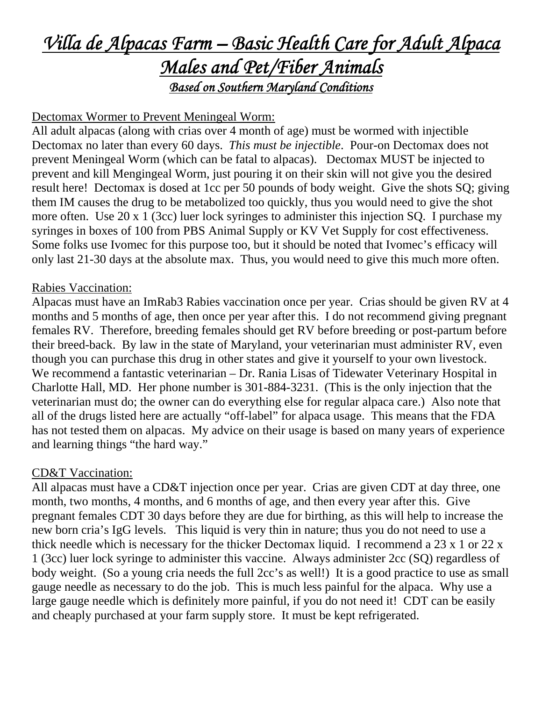# *Villa de Alpacas Farm – Basic Health Care for Adult Alpaca Males and Pet/Fiber Animals Based on Southern Maryland Conditions*

## Dectomax Wormer to Prevent Meningeal Worm:

All adult alpacas (along with crias over 4 month of age) must be wormed with injectible Dectomax no later than every 60 days. *This must be injectible*. Pour-on Dectomax does not prevent Meningeal Worm (which can be fatal to alpacas). Dectomax MUST be injected to prevent and kill Mengingeal Worm, just pouring it on their skin will not give you the desired result here! Dectomax is dosed at 1cc per 50 pounds of body weight. Give the shots SQ; giving them IM causes the drug to be metabolized too quickly, thus you would need to give the shot more often. Use 20 x 1 (3cc) luer lock syringes to administer this injection SQ. I purchase my syringes in boxes of 100 from PBS Animal Supply or KV Vet Supply for cost effectiveness. Some folks use Ivomec for this purpose too, but it should be noted that Ivomec's efficacy will only last 21-30 days at the absolute max. Thus, you would need to give this much more often.

#### Rabies Vaccination:

Alpacas must have an ImRab3 Rabies vaccination once per year. Crias should be given RV at 4 months and 5 months of age, then once per year after this. I do not recommend giving pregnant females RV. Therefore, breeding females should get RV before breeding or post-partum before their breed-back. By law in the state of Maryland, your veterinarian must administer RV, even though you can purchase this drug in other states and give it yourself to your own livestock. We recommend a fantastic veterinarian – Dr. Rania Lisas of Tidewater Veterinary Hospital in Charlotte Hall, MD. Her phone number is 301-884-3231. (This is the only injection that the veterinarian must do; the owner can do everything else for regular alpaca care.) Also note that all of the drugs listed here are actually "off-label" for alpaca usage. This means that the FDA has not tested them on alpacas. My advice on their usage is based on many years of experience and learning things "the hard way."

#### CD&T Vaccination:

All alpacas must have a CD&T injection once per year. Crias are given CDT at day three, one month, two months, 4 months, and 6 months of age, and then every year after this. Give pregnant females CDT 30 days before they are due for birthing, as this will help to increase the new born cria's IgG levels. This liquid is very thin in nature; thus you do not need to use a thick needle which is necessary for the thicker Dectomax liquid. I recommend a 23 x 1 or 22 x 1 (3cc) luer lock syringe to administer this vaccine. Always administer 2cc (SQ) regardless of body weight. (So a young cria needs the full 2cc's as well!) It is a good practice to use as small gauge needle as necessary to do the job. This is much less painful for the alpaca. Why use a large gauge needle which is definitely more painful, if you do not need it! CDT can be easily and cheaply purchased at your farm supply store. It must be kept refrigerated.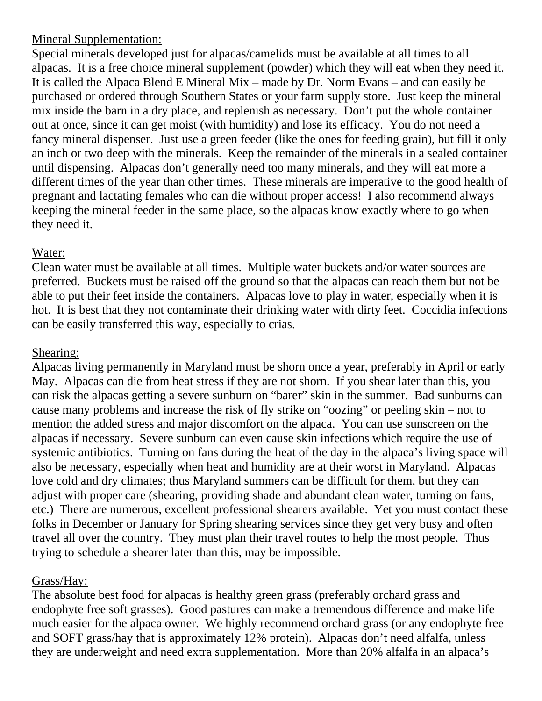## Mineral Supplementation:

Special minerals developed just for alpacas/camelids must be available at all times to all alpacas. It is a free choice mineral supplement (powder) which they will eat when they need it. It is called the Alpaca Blend E Mineral Mix – made by Dr. Norm Evans – and can easily be purchased or ordered through Southern States or your farm supply store. Just keep the mineral mix inside the barn in a dry place, and replenish as necessary. Don't put the whole container out at once, since it can get moist (with humidity) and lose its efficacy. You do not need a fancy mineral dispenser. Just use a green feeder (like the ones for feeding grain), but fill it only an inch or two deep with the minerals. Keep the remainder of the minerals in a sealed container until dispensing. Alpacas don't generally need too many minerals, and they will eat more a different times of the year than other times. These minerals are imperative to the good health of pregnant and lactating females who can die without proper access! I also recommend always keeping the mineral feeder in the same place, so the alpacas know exactly where to go when they need it.

# Water:

Clean water must be available at all times. Multiple water buckets and/or water sources are preferred. Buckets must be raised off the ground so that the alpacas can reach them but not be able to put their feet inside the containers. Alpacas love to play in water, especially when it is hot. It is best that they not contaminate their drinking water with dirty feet. Coccidia infections can be easily transferred this way, especially to crias.

## Shearing:

Alpacas living permanently in Maryland must be shorn once a year, preferably in April or early May. Alpacas can die from heat stress if they are not shorn. If you shear later than this, you can risk the alpacas getting a severe sunburn on "barer" skin in the summer. Bad sunburns can cause many problems and increase the risk of fly strike on "oozing" or peeling skin – not to mention the added stress and major discomfort on the alpaca. You can use sunscreen on the alpacas if necessary. Severe sunburn can even cause skin infections which require the use of systemic antibiotics. Turning on fans during the heat of the day in the alpaca's living space will also be necessary, especially when heat and humidity are at their worst in Maryland. Alpacas love cold and dry climates; thus Maryland summers can be difficult for them, but they can adjust with proper care (shearing, providing shade and abundant clean water, turning on fans, etc.) There are numerous, excellent professional shearers available. Yet you must contact these folks in December or January for Spring shearing services since they get very busy and often travel all over the country. They must plan their travel routes to help the most people. Thus trying to schedule a shearer later than this, may be impossible.

## Grass/Hay:

The absolute best food for alpacas is healthy green grass (preferably orchard grass and endophyte free soft grasses). Good pastures can make a tremendous difference and make life much easier for the alpaca owner. We highly recommend orchard grass (or any endophyte free and SOFT grass/hay that is approximately 12% protein). Alpacas don't need alfalfa, unless they are underweight and need extra supplementation. More than 20% alfalfa in an alpaca's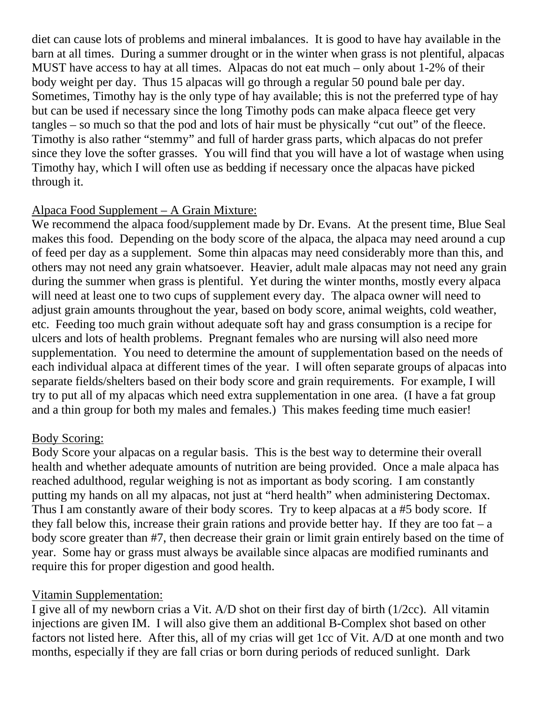diet can cause lots of problems and mineral imbalances. It is good to have hay available in the barn at all times. During a summer drought or in the winter when grass is not plentiful, alpacas MUST have access to hay at all times. Alpacas do not eat much – only about 1-2% of their body weight per day. Thus 15 alpacas will go through a regular 50 pound bale per day. Sometimes, Timothy hay is the only type of hay available; this is not the preferred type of hay but can be used if necessary since the long Timothy pods can make alpaca fleece get very tangles – so much so that the pod and lots of hair must be physically "cut out" of the fleece. Timothy is also rather "stemmy" and full of harder grass parts, which alpacas do not prefer since they love the softer grasses. You will find that you will have a lot of wastage when using Timothy hay, which I will often use as bedding if necessary once the alpacas have picked through it.

## Alpaca Food Supplement – A Grain Mixture:

We recommend the alpaca food/supplement made by Dr. Evans. At the present time, Blue Seal makes this food. Depending on the body score of the alpaca, the alpaca may need around a cup of feed per day as a supplement. Some thin alpacas may need considerably more than this, and others may not need any grain whatsoever. Heavier, adult male alpacas may not need any grain during the summer when grass is plentiful. Yet during the winter months, mostly every alpaca will need at least one to two cups of supplement every day. The alpaca owner will need to adjust grain amounts throughout the year, based on body score, animal weights, cold weather, etc. Feeding too much grain without adequate soft hay and grass consumption is a recipe for ulcers and lots of health problems. Pregnant females who are nursing will also need more supplementation. You need to determine the amount of supplementation based on the needs of each individual alpaca at different times of the year. I will often separate groups of alpacas into separate fields/shelters based on their body score and grain requirements. For example, I will try to put all of my alpacas which need extra supplementation in one area. (I have a fat group and a thin group for both my males and females.) This makes feeding time much easier!

#### Body Scoring:

Body Score your alpacas on a regular basis. This is the best way to determine their overall health and whether adequate amounts of nutrition are being provided. Once a male alpaca has reached adulthood, regular weighing is not as important as body scoring. I am constantly putting my hands on all my alpacas, not just at "herd health" when administering Dectomax. Thus I am constantly aware of their body scores. Try to keep alpacas at a #5 body score. If they fall below this, increase their grain rations and provide better hay. If they are too fat –  $a$ body score greater than #7, then decrease their grain or limit grain entirely based on the time of year. Some hay or grass must always be available since alpacas are modified ruminants and require this for proper digestion and good health.

#### Vitamin Supplementation:

I give all of my newborn crias a Vit. A/D shot on their first day of birth (1/2cc). All vitamin injections are given IM. I will also give them an additional B-Complex shot based on other factors not listed here. After this, all of my crias will get 1cc of Vit. A/D at one month and two months, especially if they are fall crias or born during periods of reduced sunlight. Dark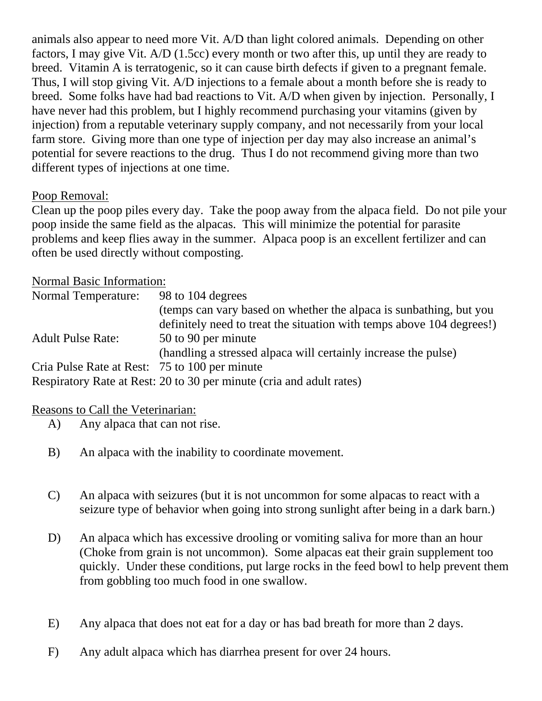animals also appear to need more Vit. A/D than light colored animals. Depending on other factors, I may give Vit. A/D (1.5cc) every month or two after this, up until they are ready to breed. Vitamin A is terratogenic, so it can cause birth defects if given to a pregnant female. Thus, I will stop giving Vit. A/D injections to a female about a month before she is ready to breed. Some folks have had bad reactions to Vit. A/D when given by injection. Personally, I have never had this problem, but I highly recommend purchasing your vitamins (given by injection) from a reputable veterinary supply company, and not necessarily from your local farm store. Giving more than one type of injection per day may also increase an animal's potential for severe reactions to the drug. Thus I do not recommend giving more than two different types of injections at one time.

## Poop Removal:

Clean up the poop piles every day. Take the poop away from the alpaca field. Do not pile your poop inside the same field as the alpacas. This will minimize the potential for parasite problems and keep flies away in the summer. Alpaca poop is an excellent fertilizer and can often be used directly without composting.

#### Normal Basic Information:

| <b>Normal Temperature:</b>                    | 98 to 104 degrees                                                     |
|-----------------------------------------------|-----------------------------------------------------------------------|
|                                               | (temps can vary based on whether the alpaca is sunbathing, but you    |
|                                               | definitely need to treat the situation with temps above 104 degrees!) |
| <b>Adult Pulse Rate:</b>                      | 50 to 90 per minute                                                   |
|                                               | (handling a stressed alpaca will certainly increase the pulse)        |
| Cria Pulse Rate at Rest: 75 to 100 per minute |                                                                       |
|                                               | Respiratory Rate at Rest: 20 to 30 per minute (cria and adult rates)  |

#### Reasons to Call the Veterinarian:

- A) Any alpaca that can not rise.
- B) An alpaca with the inability to coordinate movement.
- C) An alpaca with seizures (but it is not uncommon for some alpacas to react with a seizure type of behavior when going into strong sunlight after being in a dark barn.)
- D) An alpaca which has excessive drooling or vomiting saliva for more than an hour (Choke from grain is not uncommon). Some alpacas eat their grain supplement too quickly. Under these conditions, put large rocks in the feed bowl to help prevent them from gobbling too much food in one swallow.
- E) Any alpaca that does not eat for a day or has bad breath for more than 2 days.
- F) Any adult alpaca which has diarrhea present for over 24 hours.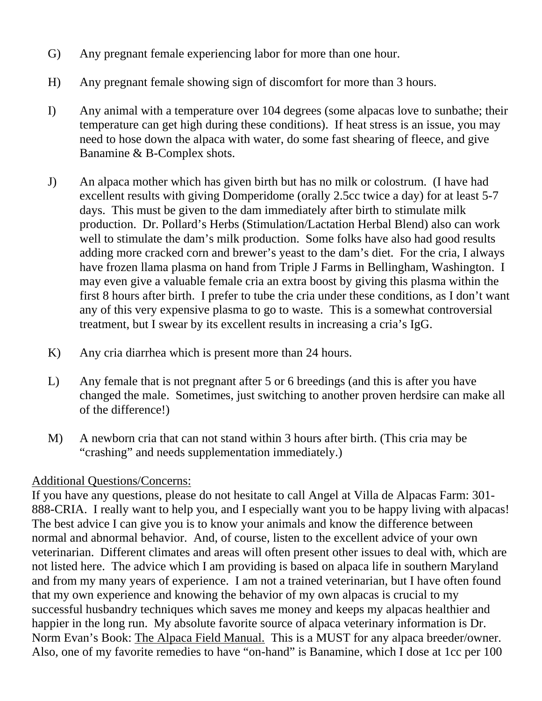- G) Any pregnant female experiencing labor for more than one hour.
- H) Any pregnant female showing sign of discomfort for more than 3 hours.
- I) Any animal with a temperature over 104 degrees (some alpacas love to sunbathe; their temperature can get high during these conditions). If heat stress is an issue, you may need to hose down the alpaca with water, do some fast shearing of fleece, and give Banamine & B-Complex shots.
- J) An alpaca mother which has given birth but has no milk or colostrum. (I have had excellent results with giving Domperidome (orally 2.5cc twice a day) for at least 5-7 days. This must be given to the dam immediately after birth to stimulate milk production. Dr. Pollard's Herbs (Stimulation/Lactation Herbal Blend) also can work well to stimulate the dam's milk production. Some folks have also had good results adding more cracked corn and brewer's yeast to the dam's diet. For the cria, I always have frozen llama plasma on hand from Triple J Farms in Bellingham, Washington. I may even give a valuable female cria an extra boost by giving this plasma within the first 8 hours after birth. I prefer to tube the cria under these conditions, as I don't want any of this very expensive plasma to go to waste. This is a somewhat controversial treatment, but I swear by its excellent results in increasing a cria's IgG.
- K) Any cria diarrhea which is present more than 24 hours.
- L) Any female that is not pregnant after 5 or 6 breedings (and this is after you have changed the male. Sometimes, just switching to another proven herdsire can make all of the difference!)
- M) A newborn cria that can not stand within 3 hours after birth. (This cria may be "crashing" and needs supplementation immediately.)

## Additional Questions/Concerns:

If you have any questions, please do not hesitate to call Angel at Villa de Alpacas Farm: 301- 888-CRIA. I really want to help you, and I especially want you to be happy living with alpacas! The best advice I can give you is to know your animals and know the difference between normal and abnormal behavior. And, of course, listen to the excellent advice of your own veterinarian. Different climates and areas will often present other issues to deal with, which are not listed here. The advice which I am providing is based on alpaca life in southern Maryland and from my many years of experience. I am not a trained veterinarian, but I have often found that my own experience and knowing the behavior of my own alpacas is crucial to my successful husbandry techniques which saves me money and keeps my alpacas healthier and happier in the long run. My absolute favorite source of alpaca veterinary information is Dr. Norm Evan's Book: The Alpaca Field Manual. This is a MUST for any alpaca breeder/owner. Also, one of my favorite remedies to have "on-hand" is Banamine, which I dose at 1cc per 100